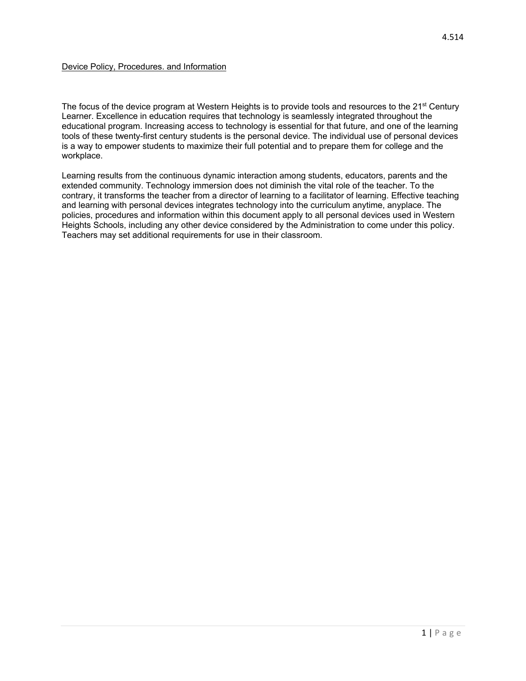The focus of the device program at Western Heights is to provide tools and resources to the 21<sup>st</sup> Century Learner. Excellence in education requires that technology is seamlessly integrated throughout the educational program. Increasing access to technology is essential for that future, and one of the learning tools of these twenty-first century students is the personal device. The individual use of personal devices is a way to empower students to maximize their full potential and to prepare them for college and the workplace.

Learning results from the continuous dynamic interaction among students, educators, parents and the extended community. Technology immersion does not diminish the vital role of the teacher. To the contrary, it transforms the teacher from a director of learning to a facilitator of learning. Effective teaching and learning with personal devices integrates technology into the curriculum anytime, anyplace. The policies, procedures and information within this document apply to all personal devices used in Western Heights Schools, including any other device considered by the Administration to come under this policy. Teachers may set additional requirements for use in their classroom.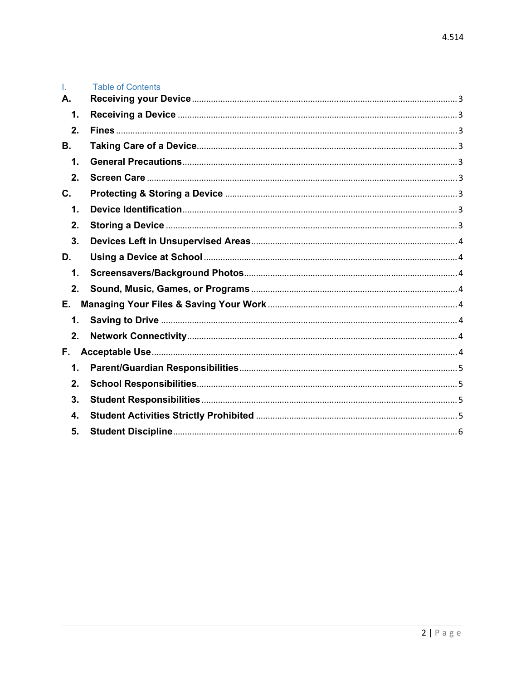| T.             | <b>Table of Contents</b> |
|----------------|--------------------------|
| А.             |                          |
| 1.             |                          |
| 2.             |                          |
| В.             |                          |
| 1.             |                          |
| 2.             |                          |
| $\mathbf{C}$ . |                          |
| 1.             |                          |
| 2.             |                          |
| 3.             |                          |
| D.             |                          |
| 1.             |                          |
| 2.             |                          |
| Е.             |                          |
| 1.             |                          |
| 2.             |                          |
| F.             |                          |
| 1.             |                          |
| $2_{\cdot}$    |                          |
| 3.             |                          |
| 4.             |                          |
| 5.             |                          |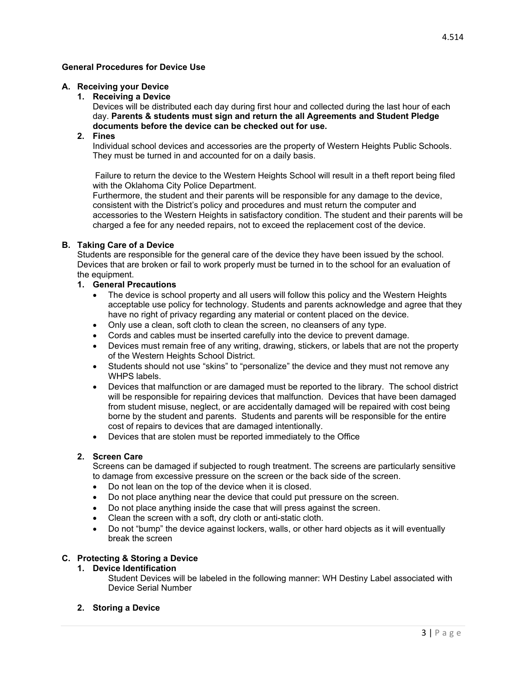## **A. Receiving your Device**

**1. Receiving a Device** 

Devices will be distributed each day during first hour and collected during the last hour of each day. **Parents & students must sign and return the all Agreements and Student Pledge documents before the device can be checked out for use.**

### **2. Fines**

Individual school devices and accessories are the property of Western Heights Public Schools. They must be turned in and accounted for on a daily basis.

 Failure to return the device to the Western Heights School will result in a theft report being filed with the Oklahoma City Police Department.

Furthermore, the student and their parents will be responsible for any damage to the device, consistent with the District's policy and procedures and must return the computer and accessories to the Western Heights in satisfactory condition. The student and their parents will be charged a fee for any needed repairs, not to exceed the replacement cost of the device.

### **B. Taking Care of a Device**

Students are responsible for the general care of the device they have been issued by the school. Devices that are broken or fail to work properly must be turned in to the school for an evaluation of the equipment.

### **1. General Precautions**

- The device is school property and all users will follow this policy and the Western Heights acceptable use policy for technology. Students and parents acknowledge and agree that they have no right of privacy regarding any material or content placed on the device.
- Only use a clean, soft cloth to clean the screen, no cleansers of any type.
- Cords and cables must be inserted carefully into the device to prevent damage.
- Devices must remain free of any writing, drawing, stickers, or labels that are not the property of the Western Heights School District.
- Students should not use "skins" to "personalize" the device and they must not remove any WHPS labels.
- Devices that malfunction or are damaged must be reported to the library. The school district will be responsible for repairing devices that malfunction. Devices that have been damaged from student misuse, neglect, or are accidentally damaged will be repaired with cost being borne by the student and parents. Students and parents will be responsible for the entire cost of repairs to devices that are damaged intentionally.
- Devices that are stolen must be reported immediately to the Office

### **2. Screen Care**

Screens can be damaged if subjected to rough treatment. The screens are particularly sensitive to damage from excessive pressure on the screen or the back side of the screen.

- Do not lean on the top of the device when it is closed.
- Do not place anything near the device that could put pressure on the screen.
- Do not place anything inside the case that will press against the screen.
- Clean the screen with a soft, dry cloth or anti-static cloth.
- Do not "bump" the device against lockers, walls, or other hard objects as it will eventually break the screen

# **C. Protecting & Storing a Device**

### **1. Device Identification**

Student Devices will be labeled in the following manner: WH Destiny Label associated with Device Serial Number

#### **2. Storing a Device**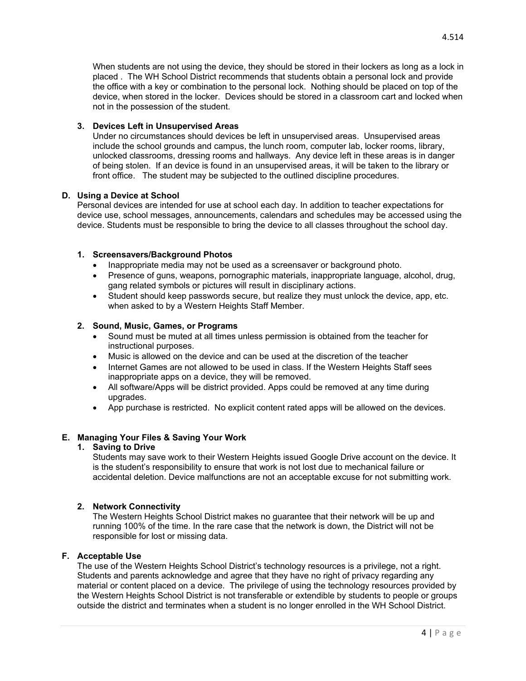When students are not using the device, they should be stored in their lockers as long as a lock in placed . The WH School District recommends that students obtain a personal lock and provide the office with a key or combination to the personal lock. Nothing should be placed on top of the device, when stored in the locker. Devices should be stored in a classroom cart and locked when not in the possession of the student.

## **3. Devices Left in Unsupervised Areas**

Under no circumstances should devices be left in unsupervised areas. Unsupervised areas include the school grounds and campus, the lunch room, computer lab, locker rooms, library, unlocked classrooms, dressing rooms and hallways. Any device left in these areas is in danger of being stolen. If an device is found in an unsupervised areas, it will be taken to the library or front office. The student may be subjected to the outlined discipline procedures.

# **D. Using a Device at School**

Personal devices are intended for use at school each day. In addition to teacher expectations for device use, school messages, announcements, calendars and schedules may be accessed using the device. Students must be responsible to bring the device to all classes throughout the school day.

# **1. Screensavers/Background Photos**

- Inappropriate media may not be used as a screensaver or background photo.
- Presence of guns, weapons, pornographic materials, inappropriate language, alcohol, drug, gang related symbols or pictures will result in disciplinary actions.
- Student should keep passwords secure, but realize they must unlock the device, app, etc. when asked to by a Western Heights Staff Member.

# **2. Sound, Music, Games, or Programs**

- Sound must be muted at all times unless permission is obtained from the teacher for instructional purposes.
- Music is allowed on the device and can be used at the discretion of the teacher
- Internet Games are not allowed to be used in class. If the Western Heights Staff sees inappropriate apps on a device, they will be removed.
- All software/Apps will be district provided. Apps could be removed at any time during upgrades.
- App purchase is restricted. No explicit content rated apps will be allowed on the devices.

# **E. Managing Your Files & Saving Your Work**

## **1. Saving to Drive**

Students may save work to their Western Heights issued Google Drive account on the device. It is the student's responsibility to ensure that work is not lost due to mechanical failure or accidental deletion. Device malfunctions are not an acceptable excuse for not submitting work.

### **2. Network Connectivity**

The Western Heights School District makes no guarantee that their network will be up and running 100% of the time. In the rare case that the network is down, the District will not be responsible for lost or missing data.

### **F. Acceptable Use**

The use of the Western Heights School District's technology resources is a privilege, not a right. Students and parents acknowledge and agree that they have no right of privacy regarding any material or content placed on a device. The privilege of using the technology resources provided by the Western Heights School District is not transferable or extendible by students to people or groups outside the district and terminates when a student is no longer enrolled in the WH School District.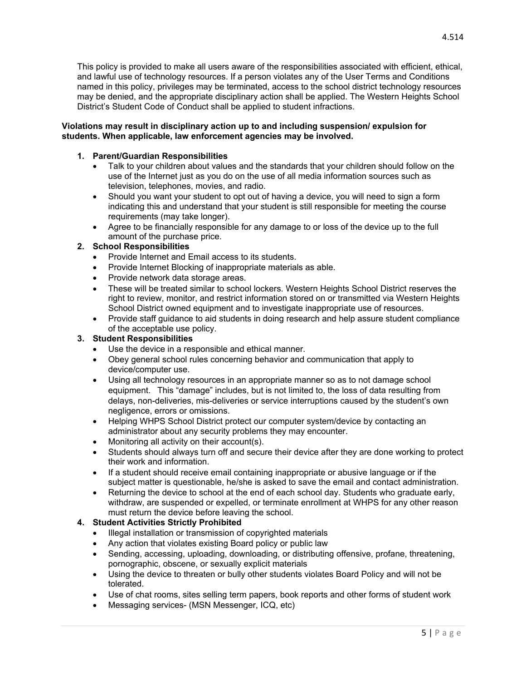This policy is provided to make all users aware of the responsibilities associated with efficient, ethical, and lawful use of technology resources. If a person violates any of the User Terms and Conditions named in this policy, privileges may be terminated, access to the school district technology resources may be denied, and the appropriate disciplinary action shall be applied. The Western Heights School District's Student Code of Conduct shall be applied to student infractions.

### **Violations may result in disciplinary action up to and including suspension/ expulsion for students. When applicable, law enforcement agencies may be involved.**

## **1. Parent/Guardian Responsibilities**

- Talk to your children about values and the standards that your children should follow on the use of the Internet just as you do on the use of all media information sources such as television, telephones, movies, and radio.
- Should you want your student to opt out of having a device, you will need to sign a form indicating this and understand that your student is still responsible for meeting the course requirements (may take longer).
- Agree to be financially responsible for any damage to or loss of the device up to the full amount of the purchase price.

# **2. School Responsibilities**

- Provide Internet and Email access to its students.
- Provide Internet Blocking of inappropriate materials as able.
- Provide network data storage areas.
- These will be treated similar to school lockers. Western Heights School District reserves the right to review, monitor, and restrict information stored on or transmitted via Western Heights School District owned equipment and to investigate inappropriate use of resources.
- Provide staff guidance to aid students in doing research and help assure student compliance of the acceptable use policy.

### **3. Student Responsibilities**

- Use the device in a responsible and ethical manner.
- Obey general school rules concerning behavior and communication that apply to device/computer use.
- Using all technology resources in an appropriate manner so as to not damage school equipment. This "damage" includes, but is not limited to, the loss of data resulting from delays, non-deliveries, mis-deliveries or service interruptions caused by the student's own negligence, errors or omissions.
- Helping WHPS School District protect our computer system/device by contacting an administrator about any security problems they may encounter.
- Monitoring all activity on their account(s).
- Students should always turn off and secure their device after they are done working to protect their work and information.
- If a student should receive email containing inappropriate or abusive language or if the subject matter is questionable, he/she is asked to save the email and contact administration.
- Returning the device to school at the end of each school day. Students who graduate early, withdraw, are suspended or expelled, or terminate enrollment at WHPS for any other reason must return the device before leaving the school.

### **4. Student Activities Strictly Prohibited**

- Illegal installation or transmission of copyrighted materials
- Any action that violates existing Board policy or public law
- Sending, accessing, uploading, downloading, or distributing offensive, profane, threatening, pornographic, obscene, or sexually explicit materials
- Using the device to threaten or bully other students violates Board Policy and will not be tolerated.
- Use of chat rooms, sites selling term papers, book reports and other forms of student work
- Messaging services- (MSN Messenger, ICQ, etc)